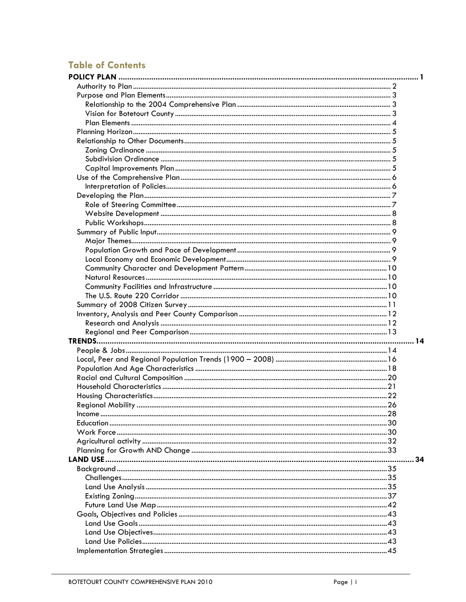## **Table of Contents**

| . 34 |
|------|
|      |
|      |
|      |
|      |
|      |
|      |
|      |
|      |
|      |
|      |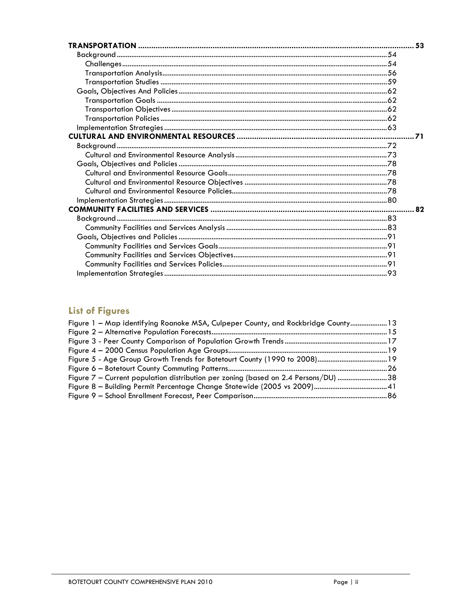## **List of Figures**

| Figure 1 - Map identifying Roanoke MSA, Culpeper County, and Rockbridge County 13  |  |
|------------------------------------------------------------------------------------|--|
|                                                                                    |  |
|                                                                                    |  |
|                                                                                    |  |
|                                                                                    |  |
|                                                                                    |  |
| Figure 7 – Current population distribution per zoning (based on 2.4 Persons/DU) 38 |  |
|                                                                                    |  |
|                                                                                    |  |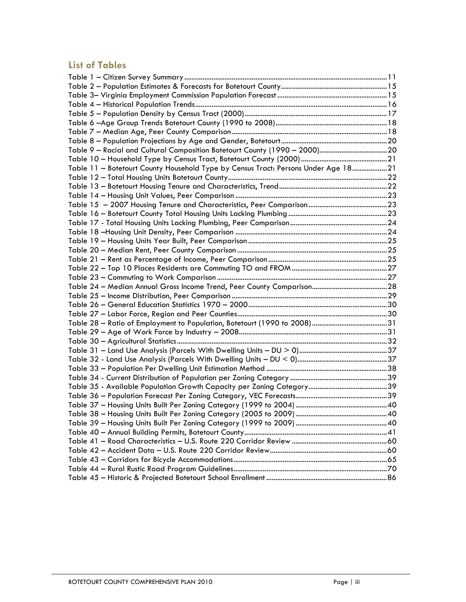## **List of Tables**

| Table 11 - Botetourt County Household Type by Census Tract: Persons Under Age 1821 |  |
|------------------------------------------------------------------------------------|--|
|                                                                                    |  |
|                                                                                    |  |
|                                                                                    |  |
|                                                                                    |  |
|                                                                                    |  |
|                                                                                    |  |
|                                                                                    |  |
|                                                                                    |  |
|                                                                                    |  |
|                                                                                    |  |
|                                                                                    |  |
|                                                                                    |  |
|                                                                                    |  |
|                                                                                    |  |
|                                                                                    |  |
|                                                                                    |  |
|                                                                                    |  |
|                                                                                    |  |
|                                                                                    |  |
|                                                                                    |  |
|                                                                                    |  |
|                                                                                    |  |
|                                                                                    |  |
|                                                                                    |  |
|                                                                                    |  |
|                                                                                    |  |
|                                                                                    |  |
|                                                                                    |  |
|                                                                                    |  |
|                                                                                    |  |
|                                                                                    |  |
|                                                                                    |  |
|                                                                                    |  |
|                                                                                    |  |